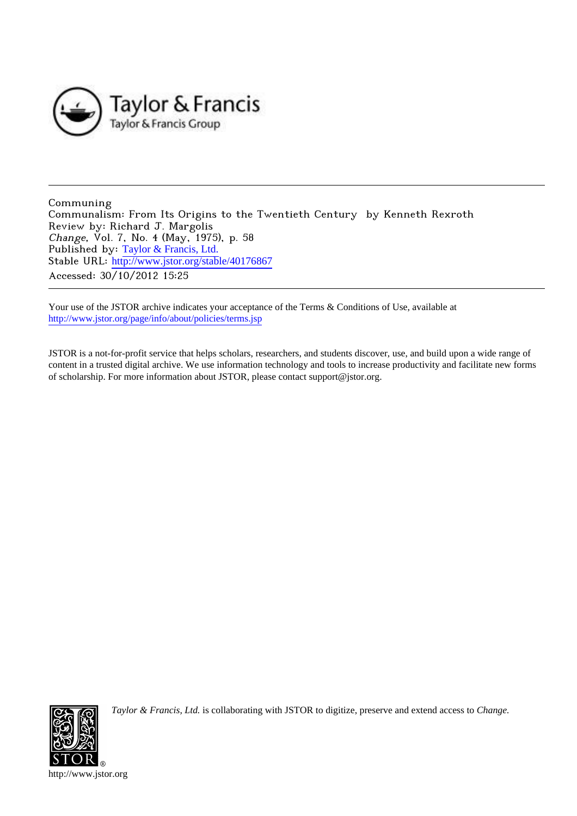

Communing Communalism: From Its Origins to the Twentieth Century by Kenneth Rexroth Review by: Richard J. Margolis Change, Vol. 7, No. 4 (May, 1975), p. 58 Published by: [Taylor & Francis, Ltd.](http://www.jstor.org/action/showPublisher?publisherCode=taylorfrancis) Stable URL: http://www.jstor.org/stable/40176867 Accessed: 30/10/2012 15:25

Your use of the JSTOR archive indicates your acceptance of the Terms & Conditions of Use, available at <http://www.jstor.org/page/info/about/policies/terms.jsp>

JSTOR is a not-for-profit service that helps scholars, researchers, and students discover, use, and build upon a wide range of content in a trusted digital archive. We use information technology and tools to increase productivity and facilitate new forms of scholarship. For more information about JSTOR, please contact support@jstor.org.



*Taylor & Francis, Ltd.* is collaborating with JSTOR to digitize, preserve and extend access to *Change.*